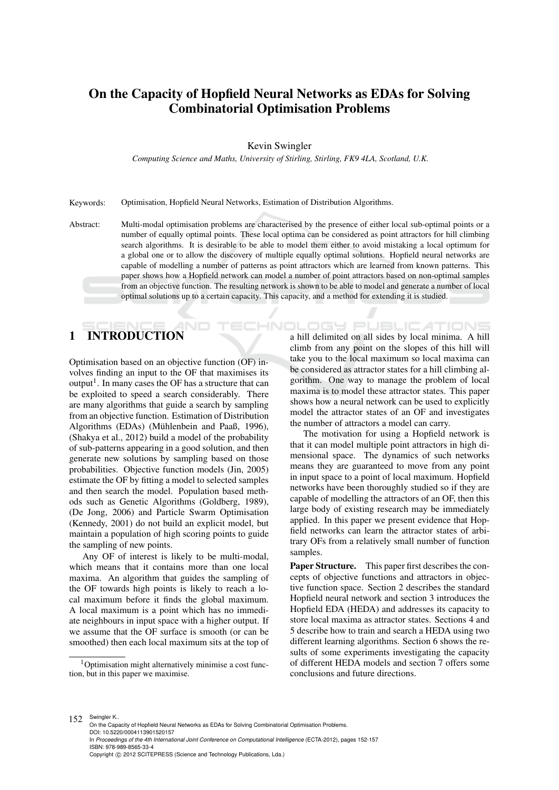# On the Capacity of Hopfield Neural Networks as EDAs for Solving Combinatorial Optimisation Problems

Kevin Swingler

*Computing Science and Maths, University of Stirling, Stirling, FK9 4LA, Scotland, U.K.*

Keywords: Optimisation, Hopfield Neural Networks, Estimation of Distribution Algorithms.

Abstract: Multi-modal optimisation problems are characterised by the presence of either local sub-optimal points or a number of equally optimal points. These local optima can be considered as point attractors for hill climbing search algorithms. It is desirable to be able to model them either to avoid mistaking a local optimum for a global one or to allow the discovery of multiple equally optimal solutions. Hopfield neural networks are capable of modelling a number of patterns as point attractors which are learned from known patterns. This paper shows how a Hopfield network can model a number of point attractors based on non-optimal samples from an objective function. The resulting network is shown to be able to model and generate a number of local optimal solutions up to a certain capacity. This capacity, and a method for extending it is studied.

# 1 INTRODUCTION

Optimisation based on an objective function (OF) involves finding an input to the OF that maximises its output<sup>1</sup>. In many cases the OF has a structure that can be exploited to speed a search considerably. There are many algorithms that guide a search by sampling from an objective function. Estimation of Distribution Algorithms (EDAs) (Mühlenbein and Paaß, 1996), (Shakya et al., 2012) build a model of the probability of sub-patterns appearing in a good solution, and then generate new solutions by sampling based on those probabilities. Objective function models (Jin, 2005) estimate the OF by fitting a model to selected samples and then search the model. Population based methods such as Genetic Algorithms (Goldberg, 1989), (De Jong, 2006) and Particle Swarm Optimisation (Kennedy, 2001) do not build an explicit model, but maintain a population of high scoring points to guide the sampling of new points.

Any OF of interest is likely to be multi-modal, which means that it contains more than one local maxima. An algorithm that guides the sampling of the OF towards high points is likely to reach a local maximum before it finds the global maximum. A local maximum is a point which has no immediate neighbours in input space with a higher output. If we assume that the OF surface is smooth (or can be smoothed) then each local maximum sits at the top of

DGY Pl JBLIC ATIONS a hill delimited on all sides by local minima. A hill climb from any point on the slopes of this hill will take you to the local maximum so local maxima can be considered as attractor states for a hill climbing algorithm. One way to manage the problem of local maxima is to model these attractor states. This paper shows how a neural network can be used to explicitly model the attractor states of an OF and investigates the number of attractors a model can carry.

The motivation for using a Hopfield network is that it can model multiple point attractors in high dimensional space. The dynamics of such networks means they are guaranteed to move from any point in input space to a point of local maximum. Hopfield networks have been thoroughly studied so if they are capable of modelling the attractors of an OF, then this large body of existing research may be immediately applied. In this paper we present evidence that Hopfield networks can learn the attractor states of arbitrary OFs from a relatively small number of function samples.

Paper Structure. This paper first describes the concepts of objective functions and attractors in objective function space. Section 2 describes the standard Hopfield neural network and section 3 introduces the Hopfield EDA (HEDA) and addresses its capacity to store local maxima as attractor states. Sections 4 and 5 describe how to train and search a HEDA using two different learning algorithms. Section 6 shows the results of some experiments investigating the capacity of different HEDA models and section 7 offers some conclusions and future directions.

<sup>1</sup>Optimisation might alternatively minimise a cost function, but in this paper we maximise.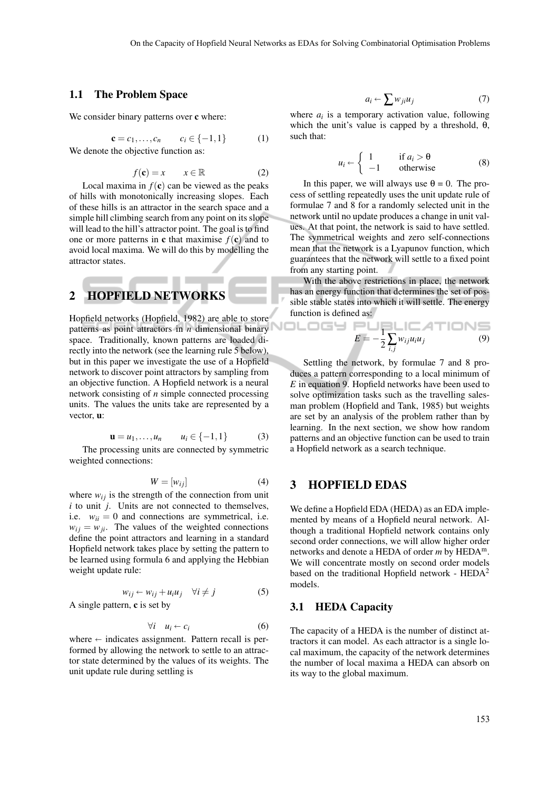ology

#### 1.1 The Problem Space

We consider binary patterns over c where:

$$
\mathbf{c} = c_1, \dots, c_n \qquad c_i \in \{-1, 1\} \tag{1}
$$

We denote the objective function as:

$$
f(\mathbf{c}) = x \qquad x \in \mathbb{R} \tag{2}
$$

Local maxima in  $f(c)$  can be viewed as the peaks of hills with monotonically increasing slopes. Each of these hills is an attractor in the search space and a simple hill climbing search from any point on its slope will lead to the hill's attractor point. The goal is to find one or more patterns in **c** that maximise  $f(c)$  and to avoid local maxima. We will do this by modelling the attractor states.

# 2 HOPFIELD NETWORKS

Hopfield networks (Hopfield, 1982) are able to store patterns as point attractors in *n* dimensional binary space. Traditionally, known patterns are loaded directly into the network (see the learning rule 5 below), but in this paper we investigate the use of a Hopfield network to discover point attractors by sampling from an objective function. A Hopfield network is a neural network consisting of *n* simple connected processing units. The values the units take are represented by a vector, u:

$$
\mathbf{u} = u_1, \dots, u_n \qquad u_i \in \{-1, 1\} \tag{3}
$$

The processing units are connected by symmetric weighted connections:

$$
W = [w_{ij}] \tag{4}
$$

where  $w_{ij}$  is the strength of the connection from unit *i* to unit *j*. Units are not connected to themselves, i.e.  $w_{ii} = 0$  and connections are symmetrical, i.e.  $w_{ij} = w_{ji}$ . The values of the weighted connections define the point attractors and learning in a standard Hopfield network takes place by setting the pattern to be learned using formula 6 and applying the Hebbian weight update rule:

$$
w_{ij} \leftarrow w_{ij} + u_i u_j \quad \forall i \neq j \tag{5}
$$
  
A single pattern, **c** is set by

$$
\forall i \quad u_i \leftarrow c_i \tag{6}
$$

where  $\leftarrow$  indicates assignment. Pattern recall is per-<br>formed by allowing the network to settle to an attracformed by allowing the network to settle to an attractor state determined by the values of its weights. The unit update rule during settling is

$$
a_i \leftarrow \sum w_{ji} u_j \tag{7}
$$

where  $a_i$  is a temporary activation value, following which the unit's value is capped by a threshold,  $\theta$ , such that:

$$
u_i \leftarrow \begin{cases} 1 & \text{if } a_i > \theta \\ -1 & \text{otherwise} \end{cases}
$$
 (8)

In this paper, we will always use  $\theta = 0$ . The process of settling repeatedly uses the unit update rule of formulae 7 and 8 for a randomly selected unit in the network until no update produces a change in unit values. At that point, the network is said to have settled. The symmetrical weights and zero self-connections mean that the network is a Lyapunov function, which guarantees that the network will settle to a fixed point from any starting point.

With the above restrictions in place, the network has an energy function that determines the set of possible stable states into which it will settle. The energy function is defined as:

$$
E = -\frac{1}{2} \sum_{i,j} w_{ij} u_i u_j \tag{9}
$$

Settling the network, by formulae 7 and 8 produces a pattern corresponding to a local minimum of *E* in equation 9. Hopfield networks have been used to solve optimization tasks such as the travelling salesman problem (Hopfield and Tank, 1985) but weights are set by an analysis of the problem rather than by learning. In the next section, we show how random patterns and an objective function can be used to train a Hopfield network as a search technique.

#### 3 HOPFIELD EDAS

We define a Hopfield EDA (HEDA) as an EDA implemented by means of a Hopfield neural network. Although a traditional Hopfield network contains only second order connections, we will allow higher order networks and denote a HEDA of order *m* by HEDAm. We will concentrate mostly on second order models based on the traditional Hopfield network -  $HEDA<sup>2</sup>$ models.

#### 3.1 HEDA Capacity

The capacity of a HEDA is the number of distinct attractors it can model. As each attractor is a single local maximum, the capacity of the network determines the number of local maxima a HEDA can absorb on its way to the global maximum.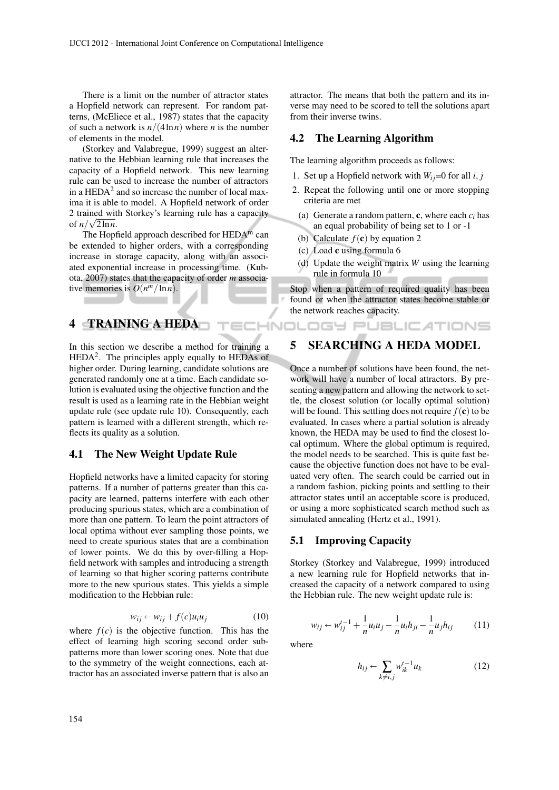There is a limit on the number of attractor states a Hopfield network can represent. For random patterns, (McEliece et al., 1987) states that the capacity of such a network is  $n/(4 \ln n)$  where *n* is the number of elements in the model.

(Storkey and Valabregue, 1999) suggest an alternative to the Hebbian learning rule that increases the capacity of a Hopfield network. This new learning rule can be used to increase the number of attractors in a  $HEDA<sup>2</sup>$  and so increase the number of local maxima it is able to model. A Hopfield network of order 2 trained with Storkey's learning rule has a capacity √ of  $n/\sqrt{2 \ln n}$ .

The Hopfield approach described for  $HEDA<sup>m</sup>$  can be extended to higher orders, with a corresponding increase in storage capacity, along with an associated exponential increase in processing time. (Kubota, 2007) states that the capacity of order *m* associative memories is  $O(n^m/\ln n)$ .

# 4 TRAINING A HEDA

In this section we describe a method for training a  $HEDA<sup>2</sup>$ . The principles apply equally to  $HEDAs$  of higher order. During learning, candidate solutions are generated randomly one at a time. Each candidate solution is evaluated using the objective function and the result is used as a learning rate in the Hebbian weight update rule (see update rule 10). Consequently, each pattern is learned with a different strength, which reflects its quality as a solution.

#### 4.1 The New Weight Update Rule

Hopfield networks have a limited capacity for storing patterns. If a number of patterns greater than this capacity are learned, patterns interfere with each other producing spurious states, which are a combination of more than one pattern. To learn the point attractors of local optima without ever sampling those points, we need to create spurious states that are a combination of lower points. We do this by over-filling a Hopfield network with samples and introducing a strength of learning so that higher scoring patterns contribute more to the new spurious states. This yields a simple modification to the Hebbian rule:

$$
w_{ij} \leftarrow w_{ij} + f(c)u_i u_j \tag{10}
$$

where  $f(c)$  is the objective function. This has the effect of learning high scoring second order subpatterns more than lower scoring ones. Note that due to the symmetry of the weight connections, each attractor has an associated inverse pattern that is also an

attractor. The means that both the pattern and its inverse may need to be scored to tell the solutions apart from their inverse twins.

#### 4.2 The Learning Algorithm

The learning algorithm proceeds as follows:

- 1. Set up a Hopfield network with  $W_{ij}=0$  for all *i*, *j*
- 2. Repeat the following until one or more stopping criteria are met
	- (a) Generate a random pattern, **c**, where each  $c_i$  has an equal probability of being set to 1 or -1
	- (b) Calculate  $f(c)$  by equation 2

**ECHNOLOGY PUBLICATIONS** 

- (c) Load c using formula 6
- (d) Update the weight matrix *W* using the learning rule in formula 10

Stop when a pattern of required quality has been found or when the attractor states become stable or the network reaches capacity.

# 5 SEARCHING A HEDA MODEL

Once a number of solutions have been found, the network will have a number of local attractors. By presenting a new pattern and allowing the network to settle, the closest solution (or locally optimal solution) will be found. This settling does not require  $f(c)$  to be evaluated. In cases where a partial solution is already known, the HEDA may be used to find the closest local optimum. Where the global optimum is required, the model needs to be searched. This is quite fast because the objective function does not have to be evaluated very often. The search could be carried out in a random fashion, picking points and settling to their attractor states until an acceptable score is produced, or using a more sophisticated search method such as simulated annealing (Hertz et al., 1991).

#### 5.1 Improving Capacity

Storkey (Storkey and Valabregue, 1999) introduced a new learning rule for Hopfield networks that increased the capacity of a network compared to using the Hebbian rule. The new weight update rule is:

$$
w_{ij} \leftarrow w_{ij}^{t-1} + \frac{1}{n} u_i u_j - \frac{1}{n} u_i h_{ji} - \frac{1}{n} u_j h_{ij}
$$
 (11)

where

$$
h_{ij} \leftarrow \sum_{k \neq i,j} w_{ik}^{t-1} u_k \tag{12}
$$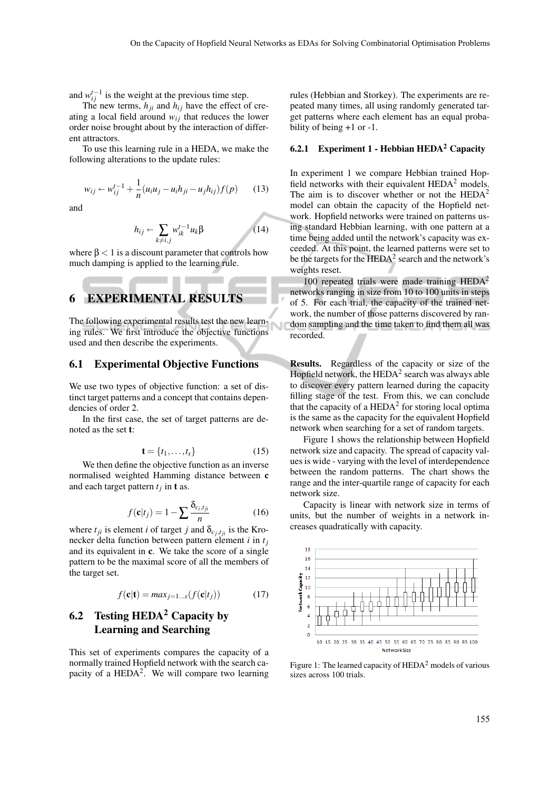and  $w_{ij}^{t-1}$  is the weight at the previous time step.

The new terms,  $h_{ji}$  and  $h_{ij}$  have the effect of creating a local field around  $w_{ij}$  that reduces the lower order noise brought about by the interaction of different attractors.

To use this learning rule in a HEDA, we make the following alterations to the update rules:

$$
w_{ij} \leftarrow w_{ij}^{t-1} + \frac{1}{n} (u_i u_j - u_i h_{ji} - u_j h_{ij}) f(p) \qquad (13)
$$

and

$$
h_{ij} \leftarrow \sum_{k \neq i,j} w_{ik}^{t-1} u_k \beta \tag{14}
$$

where  $\beta$  < 1 is a discount parameter that controls how much damping is applied to the learning rule.

#### 6 EXPERIMENTAL RESULTS

The following experimental results test the new learning rules. We first introduce the objective functions used and then describe the experiments.

#### 6.1 Experimental Objective Functions

We use two types of objective function: a set of distinct target patterns and a concept that contains dependencies of order 2.

In the first case, the set of target patterns are denoted as the set t:

$$
\mathbf{t} = \{t_1, \dots, t_s\} \tag{15}
$$

We then define the objective function as an inverse normalised weighted Hamming distance between c and each target pattern  $t_j$  in **t** as.

$$
f(\mathbf{c}|t_j) = 1 - \sum \frac{\delta_{c_i, t_{ji}}}{n}
$$
 (16)

where  $t_{ji}$  is element *i* of target *j* and  $\delta_{c_j, t_{ji}}$  is the Kronecker delta function between pattern element *i* in *t<sup>j</sup>* and its equivalent in c. We take the score of a single pattern to be the maximal score of all the members of the target set.

$$
f(\mathbf{c}|\mathbf{t}) = max_{j=1...s}(f(\mathbf{c}|t_j))
$$
 (17)

# 6.2 Testing  $HEDA<sup>2</sup>$  Capacity by Learning and Searching

This set of experiments compares the capacity of a normally trained Hopfield network with the search capacity of a  $HEDA<sup>2</sup>$ . We will compare two learning

rules (Hebbian and Storkey). The experiments are repeated many times, all using randomly generated target patterns where each element has an equal probability of being +1 or -1.

#### 6.2.1 Experiment  $1$  - Hebbian HEDA<sup>2</sup> Capacity

In experiment 1 we compare Hebbian trained Hopfield networks with their equivalent  $HEDA<sup>2</sup>$  models. The aim is to discover whether or not the  $HEDA<sup>2</sup>$ model can obtain the capacity of the Hopfield network. Hopfield networks were trained on patterns using standard Hebbian learning, with one pattern at a time being added until the network's capacity was exceeded. At this point, the learned patterns were set to be the targets for the  $\text{HEDA}^2$  search and the network's weights reset.

100 repeated trials were made training  $HEDA<sup>2</sup>$ networks ranging in size from 10 to 100 units in steps of 5. For each trial, the capacity of the trained network, the number of those patterns discovered by random sampling and the time taken to find them all was recorded.

Results. Regardless of the capacity or size of the Hopfield network, the  $HEDA<sup>2</sup>$  search was always able to discover every pattern learned during the capacity filling stage of the test. From this, we can conclude that the capacity of a  $\text{HEDA}^2$  for storing local optima is the same as the capacity for the equivalent Hopfield network when searching for a set of random targets.

Figure 1 shows the relationship between Hopfield network size and capacity. The spread of capacity values is wide - varying with the level of interdependence between the random patterns. The chart shows the range and the inter-quartile range of capacity for each network size.

Capacity is linear with network size in terms of units, but the number of weights in a network increases quadratically with capacity.



Figure 1: The learned capacity of  $HEDA<sup>2</sup>$  models of various sizes across 100 trials.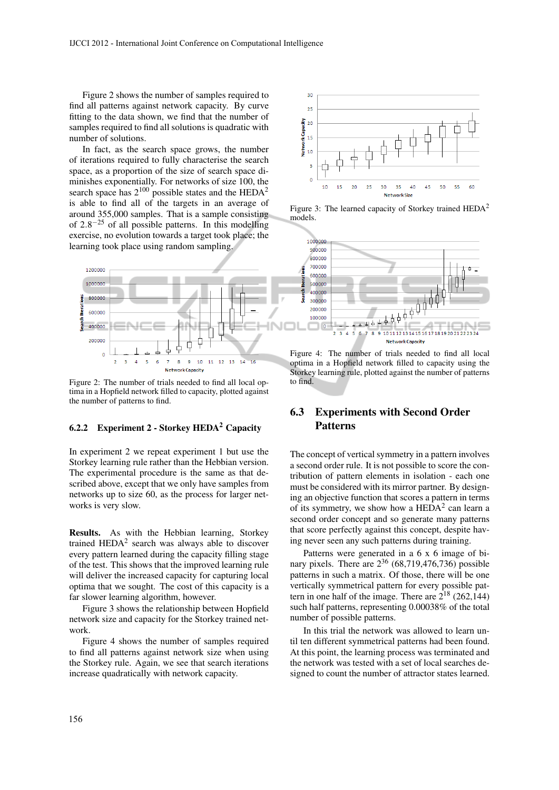Figure 2 shows the number of samples required to find all patterns against network capacity. By curve fitting to the data shown, we find that the number of samples required to find all solutions is quadratic with number of solutions.

In fact, as the search space grows, the number of iterations required to fully characterise the search space, as a proportion of the size of search space diminishes exponentially. For networks of size 100, the search space has  $2^{100}$  possible states and the HEDA<sup>2</sup> is able to find all of the targets in an average of around 355,000 samples. That is a sample consisting of  $2.8^{-25}$  of all possible patterns. In this modelling exercise, no evolution towards a target took place; the learning took place using random sampling.



Figure 2: The number of trials needed to find all local optima in a Hopfield network filled to capacity, plotted against the number of patterns to find.

### 6.2.2 Experiment 2 - Storkey  $HEDA<sup>2</sup>$  Capacity

In experiment 2 we repeat experiment 1 but use the Storkey learning rule rather than the Hebbian version. The experimental procedure is the same as that described above, except that we only have samples from networks up to size 60, as the process for larger networks is very slow.

Results. As with the Hebbian learning, Storkey trained  $HEDA<sup>2</sup>$  search was always able to discover every pattern learned during the capacity filling stage of the test. This shows that the improved learning rule will deliver the increased capacity for capturing local optima that we sought. The cost of this capacity is a far slower learning algorithm, however.

Figure 3 shows the relationship between Hopfield network size and capacity for the Storkey trained network.

Figure 4 shows the number of samples required to find all patterns against network size when using the Storkey rule. Again, we see that search iterations increase quadratically with network capacity.



Figure 3: The learned capacity of Storkey trained  $HEDA<sup>2</sup>$ models.



Figure 4: The number of trials needed to find all local optima in a Hopfield network filled to capacity using the Storkey learning rule, plotted against the number of patterns to find.

## 6.3 Experiments with Second Order Patterns

The concept of vertical symmetry in a pattern involves a second order rule. It is not possible to score the contribution of pattern elements in isolation - each one must be considered with its mirror partner. By designing an objective function that scores a pattern in terms of its symmetry, we show how a  $\text{HEDA}^2$  can learn a second order concept and so generate many patterns that score perfectly against this concept, despite having never seen any such patterns during training.

Patterns were generated in a 6 x 6 image of binary pixels. There are  $2^{36}$  (68,719,476,736) possible patterns in such a matrix. Of those, there will be one vertically symmetrical pattern for every possible pattern in one half of the image. There are  $2^{18}$  (262,144) such half patterns, representing 0.00038% of the total number of possible patterns.

In this trial the network was allowed to learn until ten different symmetrical patterns had been found. At this point, the learning process was terminated and the network was tested with a set of local searches designed to count the number of attractor states learned.